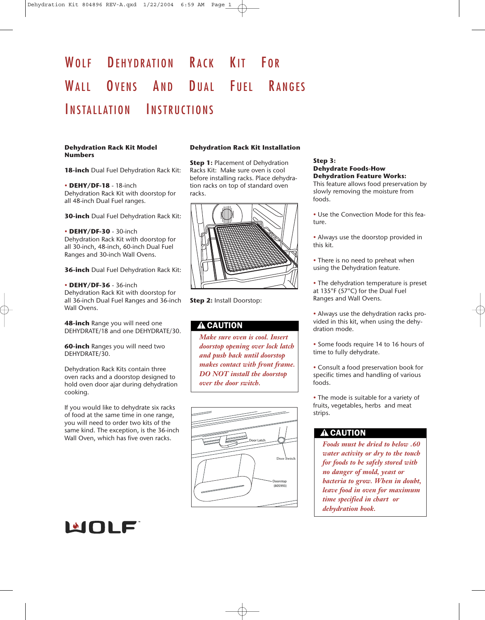# WOLF DEHYDRATION RACK KIT FOR WALL OVENS AND DUAL FUEL RANGES INSTALLATION INSTRUCTIONS

#### **Dehydration Rack Kit Model Numbers**

**18-inch** Dual Fuel Dehydration Rack Kit:

• **DEHY/DF-18** - 18-inch Dehydration Rack Kit with doorstop for all 48-inch Dual Fuel ranges.

**30-inch** Dual Fuel Dehydration Rack Kit:

• **DEHY/DF-30** - 30-inch Dehydration Rack Kit with doorstop for all 30-inch, 48-inch, 60-inch Dual Fuel Ranges and 30-inch Wall Ovens.

**36-inch** Dual Fuel Dehydration Rack Kit:

#### • **DEHY/DF-36** - 36-inch

Dehydration Rack Kit with doorstop for all 36-inch Dual Fuel Ranges and 36-inch Wall Ovens.

**48-inch** Range you will need one DEHYDRATE/18 and one DEHYDRATE/30.

**60-inch** Ranges you will need two DEHYDRATE/30.

Dehydration Rack Kits contain three oven racks and a doorstop designed to hold oven door ajar during dehydration cooking.

If you would like to dehydrate six racks of food at the same time in one range, you will need to order two kits of the same kind. The exception, is the 36-inch Wall Oven, which has five oven racks.

## **Dehydration Rack Kit Installation**

**Step 1: Placement of Dehydration** Racks Kit: Make sure oven is cool before installing racks. Place dehydration racks on top of standard oven racks.



**Step 2:** Install Doorstop:

# **A CAUTION**

*Make sure oven is cool. Insert doorstop opening over lock latch and push back until doorstop makes contact with front frame. DO NOT install the doorstop over the door switch.*



## **Step 3: Dehydrate Foods-How Dehydration Feature Works:**

This feature allows food preservation by slowly removing the moisture from foods.

• Use the Convection Mode for this feature.

• Always use the doorstop provided in this kit.

- There is no need to preheat when using the Dehydration feature.
- The dehydration temperature is preset at 135°F (57°C) for the Dual Fuel Ranges and Wall Ovens.
- Always use the dehydration racks provided in this kit, when using the dehydration mode.
- Some foods require 14 to 16 hours of time to fully dehydrate.
- Consult a food preservation book for specific times and handling of various foods.

• The mode is suitable for a variety of fruits, vegetables, herbs and meat strips.

# **A CAUTION**

*Foods must be dried to below .60 water activity or dry to the touch for foods to be safely stored with no danger of mold, yeast or bacteria to grow. When in doubt, leave food in oven for maximum time specified in chart or dehydration book.*